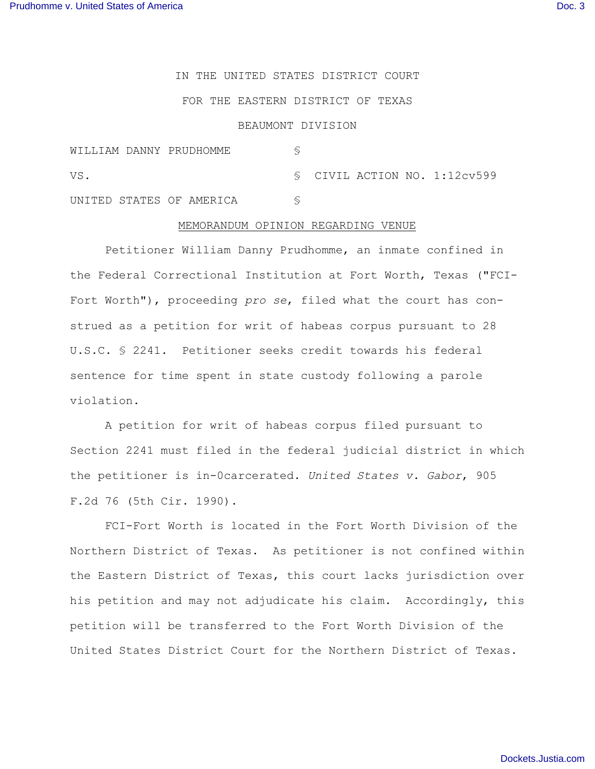IN THE UNITED STATES DISTRICT COURT

## FOR THE EASTERN DISTRICT OF TEXAS

## BEAUMONT DIVISION

| WILLIAM DANNY PRUDHOMME  |  |  |                                   |
|--------------------------|--|--|-----------------------------------|
| VS.                      |  |  | $\sim$ CIVIL ACTION NO. 1:12cv599 |
| UNITED STATES OF AMERICA |  |  |                                   |

## MEMORANDUM OPINION REGARDING VENUE

Petitioner William Danny Prudhomme, an inmate confined in the Federal Correctional Institution at Fort Worth, Texas ("FCI-Fort Worth"), proceeding *pro se*, filed what the court has construed as a petition for writ of habeas corpus pursuant to 28 U.S.C. § 2241. Petitioner seeks credit towards his federal sentence for time spent in state custody following a parole violation.

A petition for writ of habeas corpus filed pursuant to Section 2241 must filed in the federal judicial district in which the petitioner is in-0carcerated. *United States v. Gabor*, 905 F.2d 76 (5th Cir. 1990).

FCI-Fort Worth is located in the Fort Worth Division of the Northern District of Texas. As petitioner is not confined within the Eastern District of Texas, this court lacks jurisdiction over his petition and may not adjudicate his claim. Accordingly, this petition will be transferred to the Fort Worth Division of the United States District Court for the Northern District of Texas.